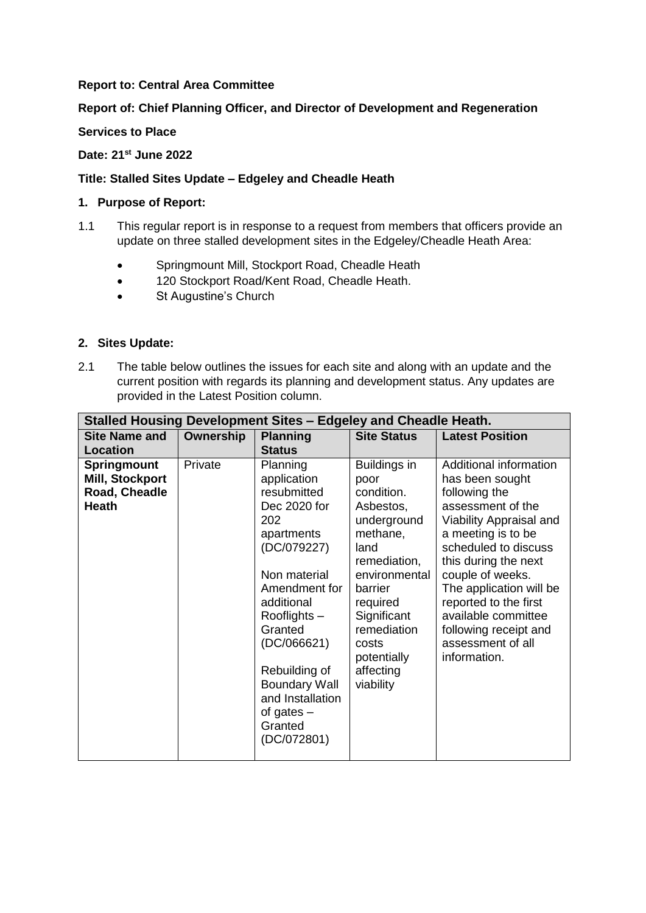## **Report to: Central Area Committee**

# **Report of: Chief Planning Officer, and Director of Development and Regeneration**

## **Services to Place**

## **Date: 21st June 2022**

## **Title: Stalled Sites Update – Edgeley and Cheadle Heath**

### **1. Purpose of Report:**

- 1.1 This regular report is in response to a request from members that officers provide an update on three stalled development sites in the Edgeley/Cheadle Heath Area:
	- Springmount Mill, Stockport Road, Cheadle Heath
	- 120 Stockport Road/Kent Road, Cheadle Heath.
	- St Augustine's Church

#### **2. Sites Update:**

2.1 The table below outlines the issues for each site and along with an update and the current position with regards its planning and development status. Any updates are provided in the Latest Position column.

| Stalled Housing Development Sites - Edgeley and Cheadle Heath.                            |           |                                                                                                                                                                                                                                                                                   |                                                                                                                                                                                                                            |                                                                                                                                                                                                                                                                                                                                               |  |  |  |
|-------------------------------------------------------------------------------------------|-----------|-----------------------------------------------------------------------------------------------------------------------------------------------------------------------------------------------------------------------------------------------------------------------------------|----------------------------------------------------------------------------------------------------------------------------------------------------------------------------------------------------------------------------|-----------------------------------------------------------------------------------------------------------------------------------------------------------------------------------------------------------------------------------------------------------------------------------------------------------------------------------------------|--|--|--|
| <b>Site Name and</b>                                                                      | Ownership | <b>Planning</b>                                                                                                                                                                                                                                                                   | <b>Site Status</b>                                                                                                                                                                                                         | <b>Latest Position</b>                                                                                                                                                                                                                                                                                                                        |  |  |  |
|                                                                                           |           |                                                                                                                                                                                                                                                                                   |                                                                                                                                                                                                                            |                                                                                                                                                                                                                                                                                                                                               |  |  |  |
| Location<br><b>Springmount</b><br><b>Mill, Stockport</b><br>Road, Cheadle<br><b>Heath</b> | Private   | <b>Status</b><br>Planning<br>application<br>resubmitted<br>Dec 2020 for<br>202<br>apartments<br>(DC/079227)<br>Non material<br>Amendment for<br>additional<br>Rooflights -<br>Granted<br>(DC/066621)<br>Rebuilding of<br><b>Boundary Wall</b><br>and Installation<br>of gates $-$ | Buildings in<br>poor<br>condition.<br>Asbestos,<br>underground<br>methane,<br>land<br>remediation,<br>environmental<br>barrier<br>required<br>Significant<br>remediation<br>costs<br>potentially<br>affecting<br>viability | Additional information<br>has been sought<br>following the<br>assessment of the<br>Viability Appraisal and<br>a meeting is to be<br>scheduled to discuss<br>this during the next<br>couple of weeks.<br>The application will be<br>reported to the first<br>available committee<br>following receipt and<br>assessment of all<br>information. |  |  |  |
|                                                                                           |           | Granted<br>(DC/072801)                                                                                                                                                                                                                                                            |                                                                                                                                                                                                                            |                                                                                                                                                                                                                                                                                                                                               |  |  |  |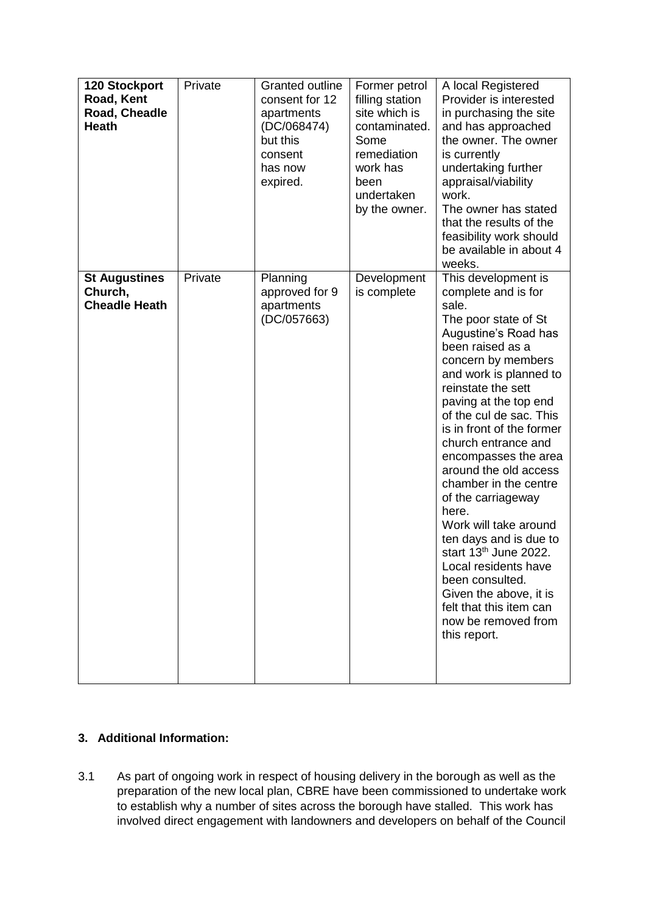| <b>120 Stockport</b><br>Road, Kent<br>Road, Cheadle<br><b>Heath</b> | Private | <b>Granted outline</b><br>consent for 12<br>apartments<br>(DC/068474)<br>but this<br>consent<br>has now<br>expired. | Former petrol<br>filling station<br>site which is<br>contaminated.<br>Some<br>remediation<br>work has<br>been<br>undertaken<br>by the owner. | A local Registered<br>Provider is interested<br>in purchasing the site<br>and has approached<br>the owner. The owner<br>is currently<br>undertaking further<br>appraisal/viability<br>work.<br>The owner has stated<br>that the results of the<br>feasibility work should<br>be available in about 4<br>weeks.                                                                                                                                                                                                                                                                                                                                |
|---------------------------------------------------------------------|---------|---------------------------------------------------------------------------------------------------------------------|----------------------------------------------------------------------------------------------------------------------------------------------|-----------------------------------------------------------------------------------------------------------------------------------------------------------------------------------------------------------------------------------------------------------------------------------------------------------------------------------------------------------------------------------------------------------------------------------------------------------------------------------------------------------------------------------------------------------------------------------------------------------------------------------------------|
| <b>St Augustines</b><br>Church,<br><b>Cheadle Heath</b>             | Private | Planning<br>approved for 9<br>apartments<br>(DC/057663)                                                             | Development<br>is complete                                                                                                                   | This development is<br>complete and is for<br>sale.<br>The poor state of St<br>Augustine's Road has<br>been raised as a<br>concern by members<br>and work is planned to<br>reinstate the sett<br>paving at the top end<br>of the cul de sac. This<br>is in front of the former<br>church entrance and<br>encompasses the area<br>around the old access<br>chamber in the centre<br>of the carriageway<br>here.<br>Work will take around<br>ten days and is due to<br>start 13 <sup>th</sup> June 2022.<br>Local residents have<br>been consulted.<br>Given the above, it is<br>felt that this item can<br>now be removed from<br>this report. |

# **3. Additional Information:**

3.1 As part of ongoing work in respect of housing delivery in the borough as well as the preparation of the new local plan, CBRE have been commissioned to undertake work to establish why a number of sites across the borough have stalled. This work has involved direct engagement with landowners and developers on behalf of the Council